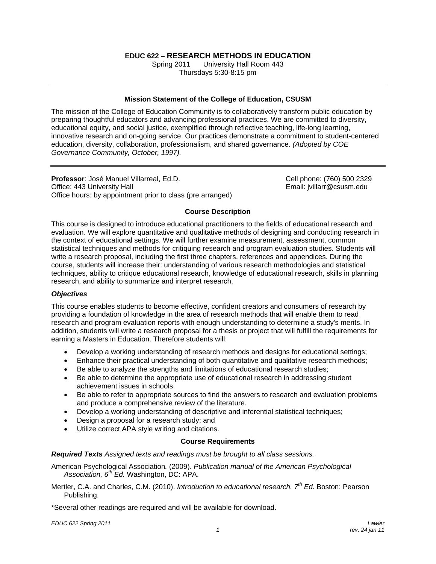# **EDUC 622 – RESEARCH METHODS IN EDUCATION**

Spring 2011 University Hall Room 443 Thursdays 5:30-8:15 pm

### **Mission Statement of the College of Education, CSUSM**

The mission of the College of Education Community is to collaboratively transform public education by preparing thoughtful educators and advancing professional practices. We are committed to diversity, educational equity, and social justice, exemplified through reflective teaching, life-long learning, innovative research and on-going service. Our practices demonstrate a commitment to student-centered education, diversity, collaboration, professionalism, and shared governance. *(Adopted by COE Governance Community, October, 1997).* 

**Professor**: José Manuel Villarreal, Ed.D. Cell phone: (760) 500 2329 Office: 443 University Hall **Email: increase and Email: ivillarr@csusm.edu** Email: jvillarr@csusm.edu Office hours: by appointment prior to class (pre arranged)

### **Course Description**

This course is designed to introduce educational practitioners to the fields of educational research and evaluation. We will explore quantitative and qualitative methods of designing and conducting research in the context of educational settings. We will further examine measurement, assessment, common statistical techniques and methods for critiquing research and program evaluation studies. Students will write a research proposal, including the first three chapters, references and appendices. During the course, students will increase their: understanding of various research methodologies and statistical techniques, ability to critique educational research, knowledge of educational research, skills in planning research, and ability to summarize and interpret research.

### *Objectives*

This course enables students to become effective, confident creators and consumers of research by providing a foundation of knowledge in the area of research methods that will enable them to read research and program evaluation reports with enough understanding to determine a study's merits. In addition, students will write a research proposal for a thesis or project that will fulfill the requirements for earning a Masters in Education. Therefore students will:

- Develop a working understanding of research methods and designs for educational settings;
- Enhance their practical understanding of both quantitative and qualitative research methods;
- Be able to analyze the strengths and limitations of educational research studies;
- Be able to determine the appropriate use of educational research in addressing student achievement issues in schools.
- Be able to refer to appropriate sources to find the answers to research and evaluation problems and produce a comprehensive review of the literature.
- Develop a working understanding of descriptive and inferential statistical techniques;
- Design a proposal for a research study; and
- Utilize correct APA style writing and citations.

### **Course Requirements**

*Required Texts Assigned texts and readings must be brought to all class sessions.*

American Psychological Association*.* (2009). *Publication manual of the American Psychological Association, 6th Ed.* Washington, DC: APA.

Mertler, C.A. and Charles, C.M. (2010). *Introduction to educational research. 7th Ed.* Boston: Pearson Publishing.

\*Several other readings are required and will be available for download.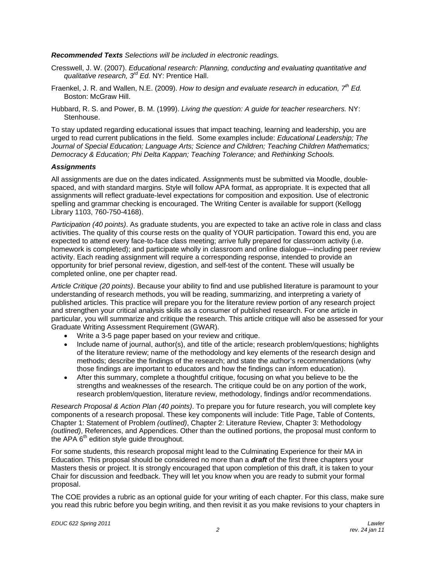### *Recommended Texts Selections will be included in electronic readings.*

- Cresswell, J. W. (2007). *Educational research: Planning, conducting and evaluating quantitative and qualitative research, 3rd Ed.* NY: Prentice Hall.
- Fraenkel, J. R. and Wallen, N.E. (2009). *How to design and evaluate research in education, 7th Ed.* Boston: McGraw Hill.
- Hubbard, R. S. and Power, B. M. (1999). *Living the question: A guide for teacher researchers.* NY: Stenhouse.

To stay updated regarding educational issues that impact teaching, learning and leadership, you are urged to read current publications in the field. Some examples include: *Educational Leadership; The Journal of Special Education; Language Arts; Science and Children; Teaching Children Mathematics; Democracy & Education; Phi Delta Kappan; Teaching Tolerance;* and *Rethinking Schools.* 

### *Assignments*

All assignments are due on the dates indicated. Assignments must be submitted via Moodle, doublespaced, and with standard margins. Style will follow APA format, as appropriate. It is expected that all assignments will reflect graduate-level expectations for composition and exposition. Use of electronic spelling and grammar checking is encouraged. The Writing Center is available for support (Kellogg Library 1103, 760-750-4168).

*Participation (40 points)*. As graduate students, you are expected to take an active role in class and class activities. The quality of this course rests on the quality of YOUR participation. Toward this end, you are expected to attend every face-to-face class meeting; arrive fully prepared for classroom activity (i.e. homework is completed); and participate wholly in classroom and online dialogue—including peer review activity. Each reading assignment will require a corresponding response, intended to provide an opportunity for brief personal review, digestion, and self-test of the content. These will usually be completed online, one per chapter read.

*Article Critique (20 points)*. Because your ability to find and use published literature is paramount to your understanding of research methods, you will be reading, summarizing, and interpreting a variety of published articles. This practice will prepare you for the literature review portion of any research project and strengthen your critical analysis skills as a consumer of published research. For one article in particular, you will summarize and critique the research. This article critique will also be assessed for your Graduate Writing Assessment Requirement (GWAR).

- Write a 3-5 page paper based on your review and critique.
- Include name of journal, author(s), and title of the article; research problem/questions; highlights of the literature review; name of the methodology and key elements of the research design and methods; describe the findings of the research; and state the author's recommendations (why those findings are important to educators and how the findings can inform education).
- After this summary, complete a thoughtful critique, focusing on what you believe to be the strengths and weaknesses of the research. The critique could be on any portion of the work, research problem/question, literature review, methodology, findings and/or recommendations.

*Research Proposal & Action Plan (40 points)*. To prepare you for future research, you will complete key components of a research proposal. These key components will include: Title Page, Table of Contents, Chapter 1: Statement of Problem *(outlined)*, Chapter 2: Literature Review, Chapter 3: Methodology *(outlined)*, References, and Appendices. Other than the outlined portions, the proposal must conform to the APA  $6<sup>th</sup>$  edition style guide throughout.

For some students, this research proposal might lead to the Culminating Experience for their MA in Education. This proposal should be considered no more than a *draft* of the first three chapters your Masters thesis or project. It is strongly encouraged that upon completion of this draft, it is taken to your Chair for discussion and feedback. They will let you know when you are ready to submit your formal proposal.

The COE provides a rubric as an optional guide for your writing of each chapter. For this class, make sure you read this rubric before you begin writing, and then revisit it as you make revisions to your chapters in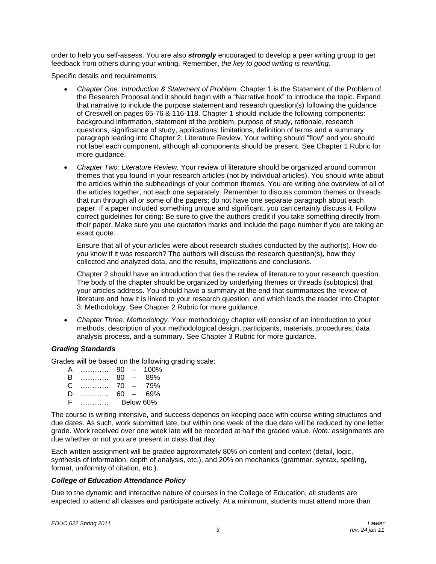order to help you self-assess. You are also *strongly* encouraged to develop a peer writing group to get feedback from others during your writing. Remember, *the key to good writing is rewriting*.

Specific details and requirements:

- *Chapter One: Introduction & Statement of Problem*. Chapter 1 is the Statement of the Problem of the Research Proposal and it should begin with a "Narrative hook" to introduce the topic. Expand that narrative to include the purpose statement and research question(s) following the guidance of Creswell on pages 65-76 & 116-118. Chapter 1 should include the following components: background information, statement of the problem, purpose of study, rationale, research questions, significance of study, applications, limitations, definition of terms and a summary paragraph leading into Chapter 2: Literature Review. Your writing should "flow" and you should not label each component, although all components should be present. See Chapter 1 Rubric for more guidance.
- *Chapter Two: Literature Review.* Your review of literature should be organized around common themes that you found in your research articles (not by individual articles). You should write about the articles within the subheadings of your common themes. You are writing one overview of all of the articles together, not each one separately. Remember to discuss common themes or threads that run through all or some of the papers; do not have one separate paragraph about each paper. If a paper included something unique and significant, you can certainly discuss it. Follow correct guidelines for citing: Be sure to give the authors credit if you take something directly from their paper. Make sure you use quotation marks and include the page number if you are taking an exact quote.

Ensure that all of your articles were about research studies conducted by the author(s). How do you know if it was research? The authors will discuss the research question(s), how they collected and analyzed data, and the results, implications and conclusions.

Chapter 2 should have an introduction that ties the review of literature to your research question. The body of the chapter should be organized by underlying themes or threads (subtopics) that your articles address. You should have a summary at the end that summarizes the review of literature and how it is linked to your research question, and which leads the reader into Chapter 3: Methodology. See Chapter 2 Rubric for more guidance.

• *Chapter Three: Methodology.* Your methodology chapter will consist of an introduction to your methods, description of your methodological design, participants, materials, procedures, data analysis process, and a summary. See Chapter 3 Rubric for more guidance.

### *Grading Standards*

Grades will be based on the following grading scale:

| $\mathsf{A}$ |              | 90        | $\overline{\phantom{0}}$ | 100% |
|--------------|--------------|-----------|--------------------------|------|
| B            | .            | 80        | $\overline{\phantom{0}}$ | 89%  |
| C.           | . <b>.</b> . | 70        | $\overline{\phantom{a}}$ | 79%  |
| $\Box$       |              | 60        | $\sim$                   | 69%  |
| F            |              | Below 60% |                          |      |

The course is writing intensive, and success depends on keeping pace with course writing structures and due dates. As such, work submitted late, but within one week of the due date will be reduced by one letter grade. Work received over one week late will be recorded at half the graded value. *Note:* assignments are due whether or not you are present in class that day.

Each written assignment will be graded approximately 80% on content and context (detail, logic, synthesis of information, depth of analysis, etc.), and 20% on mechanics (grammar, syntax, spelling, format, uniformity of citation, etc.).

### *College of Education Attendance Policy*

Due to the dynamic and interactive nature of courses in the College of Education, all students are expected to attend all classes and participate actively. At a minimum, students must attend more than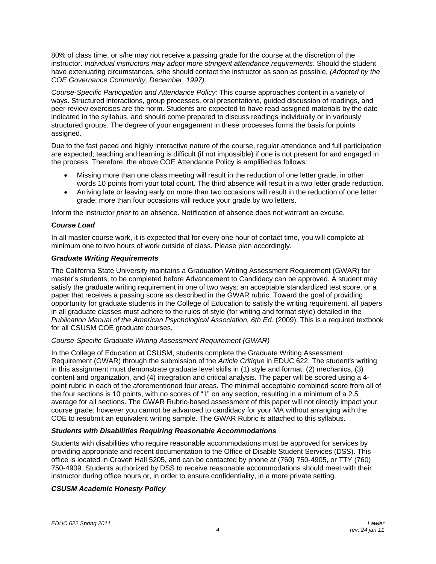80% of class time, or s/he may not receive a passing grade for the course at the discretion of the instructor. *Individual instructors may adopt more stringent attendance requirements*. Should the student have extenuating circumstances, s/he should contact the instructor as soon as possible. *(Adopted by the COE Governance Community, December, 1997).*

*Course-Specific Participation and Attendance Policy:* This course approaches content in a variety of ways. Structured interactions, group processes, oral presentations, guided discussion of readings, and peer review exercises are the norm. Students are expected to have read assigned materials by the date indicated in the syllabus, and should come prepared to discuss readings individually or in variously structured groups. The degree of your engagement in these processes forms the basis for points assigned.

Due to the fast paced and highly interactive nature of the course, regular attendance and full participation are expected; teaching and learning is difficult (if not impossible) if one is not present for and engaged in the process. Therefore, the above COE Attendance Policy is amplified as follows:

- Missing more than one class meeting will result in the reduction of one letter grade, in other words 10 points from your total count. The third absence will result in a two letter grade reduction.
- Arriving late or leaving early on more than two occasions will result in the reduction of one letter grade; more than four occasions will reduce your grade by two letters.

Inform the instructor *prior* to an absence. Notification of absence does not warrant an excuse.

### *Course Load*

In all master course work, it is expected that for every one hour of contact time, you will complete at minimum one to two hours of work outside of class. Please plan accordingly.

### *Graduate Writing Requirements*

The California State University maintains a Graduation Writing Assessment Requirement (GWAR) for master's students, to be completed before Advancement to Candidacy can be approved. A student may satisfy the graduate writing requirement in one of two ways: an acceptable standardized test score, or a paper that receives a passing score as described in the GWAR rubric. Toward the goal of providing opportunity for graduate students in the College of Education to satisfy the writing requirement, all papers in all graduate classes must adhere to the rules of style (for writing and format style) detailed in the *Publication Manual of the American Psychological Association, 6th Ed.* (2009). This is a required textbook for all CSUSM COE graduate courses.

### *Course-Specific Graduate Writing Assessment Requirement (GWAR)*

In the College of Education at CSUSM, students complete the Graduate Writing Assessment Requirement (GWAR) through the submission of the *Article Critique* in EDUC 622. The student's writing in this assignment must demonstrate graduate level skills in (1) style and format, (2) mechanics, (3) content and organization, and (4) integration and critical analysis. The paper will be scored using a 4 point rubric in each of the aforementioned four areas. The minimal acceptable combined score from all of the four sections is 10 points, with no scores of "1" on any section, resulting in a minimum of a 2.5 average for all sections. The GWAR Rubric-based assessment of this paper will not directly impact your course grade; however you cannot be advanced to candidacy for your MA without arranging with the COE to resubmit an equivalent writing sample. The GWAR Rubric is attached to this syllabus.

# *Students with Disabilities Requiring Reasonable Accommodations*

Students with disabilities who require reasonable accommodations must be approved for services by providing appropriate and recent documentation to the Office of Disable Student Services (DSS). This office is located in Craven Hall 5205, and can be contacted by phone at (760) 750-4905, or TTY (760) 750-4909. Students authorized by DSS to receive reasonable accommodations should meet with their instructor during office hours or, in order to ensure confidentiality, in a more private setting.

# *CSUSM Academic Honesty Policy*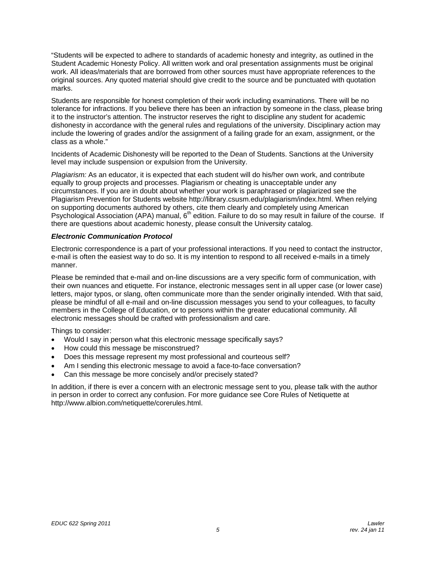"Students will be expected to adhere to standards of academic honesty and integrity, as outlined in the Student Academic Honesty Policy. All written work and oral presentation assignments must be original work. All ideas/materials that are borrowed from other sources must have appropriate references to the original sources. Any quoted material should give credit to the source and be punctuated with quotation marks.

Students are responsible for honest completion of their work including examinations. There will be no tolerance for infractions. If you believe there has been an infraction by someone in the class, please bring it to the instructor's attention. The instructor reserves the right to discipline any student for academic dishonesty in accordance with the general rules and regulations of the university. Disciplinary action may include the lowering of grades and/or the assignment of a failing grade for an exam, assignment, or the class as a whole."

Incidents of Academic Dishonesty will be reported to the Dean of Students. Sanctions at the University level may include suspension or expulsion from the University.

*Plagiarism:* As an educator, it is expected that each student will do his/her own work, and contribute equally to group projects and processes. Plagiarism or cheating is unacceptable under any circumstances. If you are in doubt about whether your work is paraphrased or plagiarized see the Plagiarism Prevention for Students website http://library.csusm.edu/plagiarism/index.html. When relying on supporting documents authored by others, cite them clearly and completely using American Psychological Association (APA) manual, 6<sup>th</sup> edition. Failure to do so may result in failure of the course. If there are questions about academic honesty, please consult the University catalog.

### *Electronic Communication Protocol*

Electronic correspondence is a part of your professional interactions. If you need to contact the instructor, e-mail is often the easiest way to do so. It is my intention to respond to all received e-mails in a timely manner.

Please be reminded that e-mail and on-line discussions are a very specific form of communication, with their own nuances and etiquette. For instance, electronic messages sent in all upper case (or lower case) letters, major typos, or slang, often communicate more than the sender originally intended. With that said, please be mindful of all e-mail and on-line discussion messages you send to your colleagues, to faculty members in the College of Education, or to persons within the greater educational community. All electronic messages should be crafted with professionalism and care.

Things to consider:

- Would I say in person what this electronic message specifically says?
- How could this message be misconstrued?
- Does this message represent my most professional and courteous self?
- Am I sending this electronic message to avoid a face-to-face conversation?
- Can this message be more concisely and/or precisely stated?

In addition, if there is ever a concern with an electronic message sent to you, please talk with the author in person in order to correct any confusion. For more guidance see Core Rules of Netiquette at http://www.albion.com/netiquette/corerules.html.